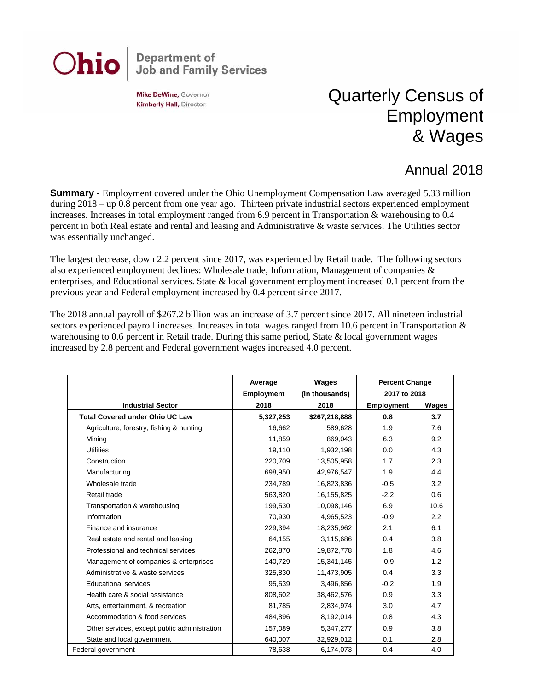## **Department of<br>Job and Family Services** Ohio

Mike DeWine, Governor **Kimberly Hall, Director** 

## Quarterly Census of Employment & Wages

## Annual 2018

**Summary** - Employment covered under the Ohio Unemployment Compensation Law averaged 5.33 million during 2018 – up 0.8 percent from one year ago. Thirteen private industrial sectors experienced employment increases. Increases in total employment ranged from 6.9 percent in Transportation & warehousing to 0.4 percent in both Real estate and rental and leasing and Administrative & waste services. The Utilities sector was essentially unchanged.

The largest decrease, down 2.2 percent since 2017, was experienced by Retail trade. The following sectors also experienced employment declines: Wholesale trade, Information, Management of companies & enterprises, and Educational services. State & local government employment increased 0.1 percent from the previous year and Federal employment increased by 0.4 percent since 2017.

The 2018 annual payroll of \$267.2 billion was an increase of 3.7 percent since 2017. All nineteen industrial sectors experienced payroll increases. Increases in total wages ranged from 10.6 percent in Transportation  $\&$ warehousing to 0.6 percent in Retail trade. During this same period, State & local government wages increased by 2.8 percent and Federal government wages increased 4.0 percent.

|                                              | Average           | Wages          | <b>Percent Change</b> |       |
|----------------------------------------------|-------------------|----------------|-----------------------|-------|
|                                              | <b>Employment</b> | (in thousands) | 2017 to 2018          |       |
| <b>Industrial Sector</b>                     | 2018              | 2018           | <b>Employment</b>     | Wages |
| <b>Total Covered under Ohio UC Law</b>       | 5,327,253         | \$267,218,888  | 0.8                   | 3.7   |
| Agriculture, forestry, fishing & hunting     | 16,662            | 589,628        | 1.9                   | 7.6   |
| Mining                                       | 11,859            | 869,043        | 6.3                   | 9.2   |
| <b>Utilities</b>                             | 19,110            | 1,932,198      | 0.0                   | 4.3   |
| Construction                                 | 220,709           | 13,505,958     | 1.7                   | 2.3   |
| Manufacturing                                | 698,950           | 42,976,547     | 1.9                   | 4.4   |
| Wholesale trade                              | 234,789           | 16,823,836     | $-0.5$                | 3.2   |
| Retail trade                                 | 563,820           | 16,155,825     | $-2.2$                | 0.6   |
| Transportation & warehousing                 | 199,530           | 10,098,146     | 6.9                   | 10.6  |
| Information                                  | 70,930            | 4,965,523      | $-0.9$                | 2.2   |
| Finance and insurance                        | 229,394           | 18,235,962     | 2.1                   | 6.1   |
| Real estate and rental and leasing           | 64,155            | 3,115,686      | 0.4                   | 3.8   |
| Professional and technical services          | 262,870           | 19,872,778     | 1.8                   | 4.6   |
| Management of companies & enterprises        | 140,729           | 15,341,145     | $-0.9$                | 1.2   |
| Administrative & waste services              | 325,830           | 11,473,905     | 0.4                   | 3.3   |
| <b>Educational services</b>                  | 95,539            | 3,496,856      | $-0.2$                | 1.9   |
| Health care & social assistance              | 808,602           | 38,462,576     | 0.9                   | 3.3   |
| Arts, entertainment, & recreation            | 81,785            | 2,834,974      | 3.0                   | 4.7   |
| Accommodation & food services                | 484,896           | 8,192,014      | 0.8                   | 4.3   |
| Other services, except public administration | 157,089           | 5,347,277      | 0.9                   | 3.8   |
| State and local government                   | 640,007           | 32,929,012     | 0.1                   | 2.8   |
| Federal government                           | 78,638            | 6,174,073      | 0.4                   | 4.0   |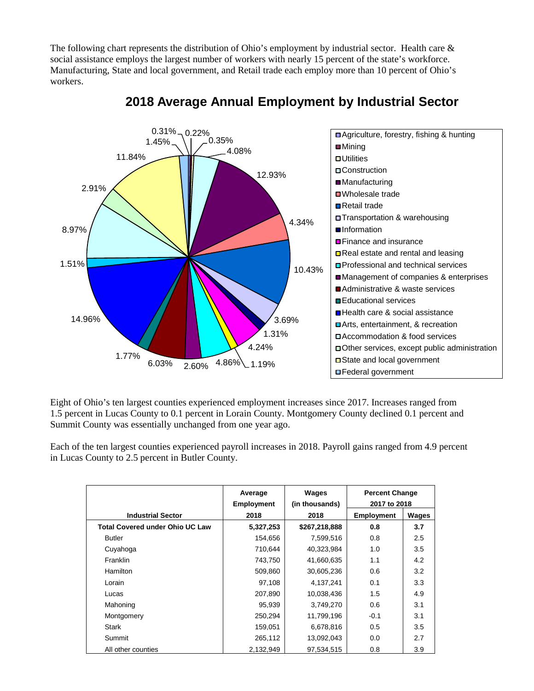The following chart represents the distribution of Ohio's employment by industrial sector. Health care & social assistance employs the largest number of workers with nearly 15 percent of the state's workforce. Manufacturing, State and local government, and Retail trade each employ more than 10 percent of Ohio's workers.



## **2018 Average Annual Employment by Industrial Sector**

Eight of Ohio's ten largest counties experienced employment increases since 2017. Increases ranged from 1.5 percent in Lucas County to 0.1 percent in Lorain County. Montgomery County declined 0.1 percent and Summit County was essentially unchanged from one year ago.

Each of the ten largest counties experienced payroll increases in 2018. Payroll gains ranged from 4.9 percent in Lucas County to 2.5 percent in Butler County.

|                                        | Average<br><b>Employment</b> | Wages<br>(in thousands) | <b>Percent Change</b><br>2017 to 2018 |       |
|----------------------------------------|------------------------------|-------------------------|---------------------------------------|-------|
| <b>Industrial Sector</b>               | 2018                         | 2018                    | <b>Employment</b>                     | Wages |
| <b>Total Covered under Ohio UC Law</b> | 5,327,253                    | \$267,218,888           | 0.8                                   | 3.7   |
| <b>Butler</b>                          | 154,656                      | 7,599,516               | 0.8                                   | 2.5   |
| Cuyahoga                               | 710,644                      | 40,323,984              | 1.0                                   | 3.5   |
| Franklin                               | 743,750                      | 41,660,635              | 1.1                                   | 4.2   |
| Hamilton                               | 509,860                      | 30,605,236              | 0.6                                   | 3.2   |
| Lorain                                 | 97,108                       | 4,137,241               | 0.1                                   | 3.3   |
| Lucas                                  | 207,890                      | 10,038,436              | 1.5                                   | 4.9   |
| Mahoning                               | 95,939                       | 3,749,270               | 0.6                                   | 3.1   |
| Montgomery                             | 250,294                      | 11,799,196              | $-0.1$                                | 3.1   |
| <b>Stark</b>                           | 159,051                      | 6,678,816               | 0.5                                   | 3.5   |
| Summit                                 | 265,112                      | 13,092,043              | 0.0                                   | 2.7   |
| All other counties                     | 2,132,949                    | 97.534.515              | 0.8                                   | 3.9   |